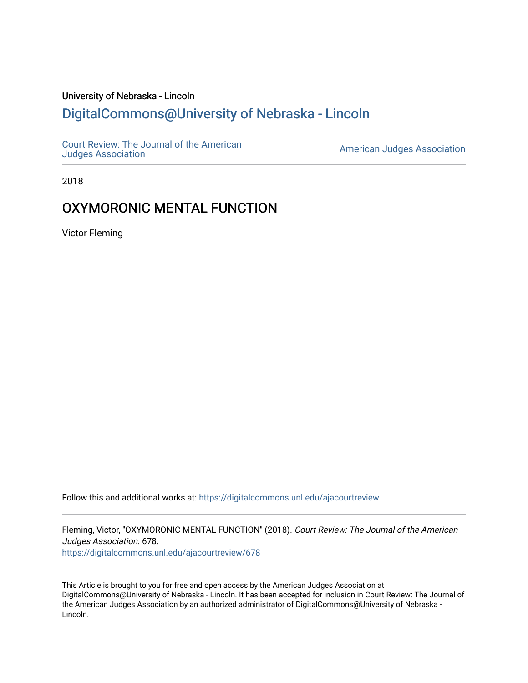# University of Nebraska - Lincoln [DigitalCommons@University of Nebraska - Lincoln](https://digitalcommons.unl.edu/)

[Court Review: The Journal of the American](https://digitalcommons.unl.edu/ajacourtreview)

[Judges Association](https://digitalcommons.unl.edu/ajacourtreview) [American Judges Association](https://digitalcommons.unl.edu/amjudgesassn) 

2018

# OXYMORONIC MENTAL FUNCTION

Victor Fleming

Follow this and additional works at: [https://digitalcommons.unl.edu/ajacourtreview](https://digitalcommons.unl.edu/ajacourtreview?utm_source=digitalcommons.unl.edu%2Fajacourtreview%2F678&utm_medium=PDF&utm_campaign=PDFCoverPages) 

Fleming, Victor, "OXYMORONIC MENTAL FUNCTION" (2018). Court Review: The Journal of the American Judges Association. 678.

[https://digitalcommons.unl.edu/ajacourtreview/678](https://digitalcommons.unl.edu/ajacourtreview/678?utm_source=digitalcommons.unl.edu%2Fajacourtreview%2F678&utm_medium=PDF&utm_campaign=PDFCoverPages) 

This Article is brought to you for free and open access by the American Judges Association at DigitalCommons@University of Nebraska - Lincoln. It has been accepted for inclusion in Court Review: The Journal of the American Judges Association by an authorized administrator of DigitalCommons@University of Nebraska -Lincoln.